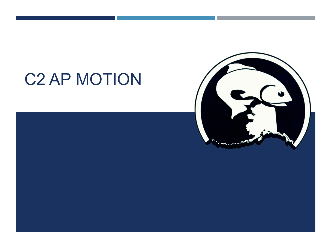# C2 AP MOTION



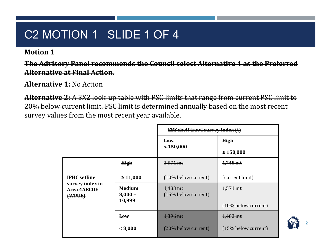## C2 MOTION 1 SLIDE 1 OF 4

#### **Motion 1**

**The Advisory Panel recommends the Council select Alternative 4 as the Preferred Alternative at Final Action.**

**Alternative 1:** No Action

**Alternative 2:** A 3X2 look-up table with PSC limits that range from current PSC limit to 20% below current limit. PSC limit is determined annually based on the most recent survey values from the most recent year available.

|                                                     |                            | <b>EBS shelf trawl survey index (t)</b> |                     |
|-----------------------------------------------------|----------------------------|-----------------------------------------|---------------------|
|                                                     |                            | <b>Low</b>                              | <b>High</b>         |
|                                                     |                            | $<$ 450,000                             | $\geq 150,000$      |
|                                                     | High                       | $1,571 \text{ mt}$                      | 1,745 mt            |
| <b>IPHC</b> setline                                 | $\geq 11,000$              | (10% below current)                     | (current limit)     |
| survey index in<br><del>Area 4ABCDE</del><br>(WPUE) | <b>Medium</b><br>$8,000 -$ | 1,483 mt<br>(15% below current)         | 1,571 mt            |
|                                                     | 10,999                     |                                         | (10% below current) |
|                                                     | $\mathbf{Law}$             | 1,396 mt                                | 1,483 mt            |
|                                                     | $\leq 8,000$               | (20% below current)                     | (15% below current) |

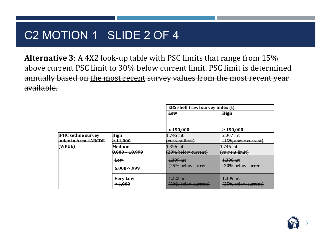#### C2 MOTION 1 SLIDE 2 OF 4

**Alternative 3**: A 4X2 look-up table with PSC limits that range from 15% above current PSC limit to 30% below current limit. PSC limit is determined annually based on the most recent survey values from the most recent year available.

|                            |                  | <b>EBS shelf trawl survey index (t)</b> |                         |
|----------------------------|------------------|-----------------------------------------|-------------------------|
|                            |                  | Low                                     | <b>High</b>             |
|                            |                  |                                         |                         |
|                            |                  |                                         |                         |
|                            |                  | $-150,000$                              | $\geq 150,000$          |
| <b>IPHC setline survey</b> | High             | 1.745 mt                                | $2,007 \text{ m}$ t     |
| index in Area 4ABCDE       | $\geq 11,000$    | (current limit)                         | (15% above current)     |
| (WPUE)                     | Medium-          | 1.396 mt                                | 1.745 mt                |
|                            | $8,000 - 10,999$ | (20% below current)                     | <b>(</b> Current limit) |
|                            | <b>Low</b>       | 1.309 mt                                | 1.396 mt                |
|                            |                  | (25% below current)                     | (20% below current)     |
|                            | 6.000-7.999      |                                         |                         |
|                            | Very Low         | $1,222$ mt                              | 1.309 mt                |
|                            | $\leq 6,000$     | (30% below current)                     | $(25\%$ below current)  |
|                            |                  |                                         |                         |

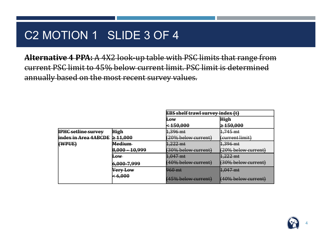#### C2 MOTION 1 SLIDE 3 OF 4

**Alternative 4 PPA:** A 4X2 look-up table with PSC limits that range from current PSC limit to 45% below current limit. PSC limit is determined annually based on the most recent survey values.

|                            |                | <b>EBS shelf trawl survey index (t)</b> |                     |
|----------------------------|----------------|-----------------------------------------|---------------------|
|                            |                | ⊞⊕w                                     | <b>High</b>         |
|                            |                | <del>&lt; 150,000</del>                 | $\geq 150,000$      |
| <b>IPHC setline survey</b> | High           | $1,396$ mt                              | $1,745$ mt          |
| index in Area 4ABCDE       | $\geq 11,000$  | (20% below current)                     | ( $current$ limit)  |
| (WPUE)                     | <b>Medium</b>  | $1,222$ mt                              | 1,396 mt            |
|                            | 8,000 - 10,999 | <del>(30% below current)</del>          | (20% below current) |
|                            | ⊩թw            | $1,047$ mt                              | $1,222$ mt          |
|                            | 6,000-7,999    | (40% below current)                     | (30% below current) |
|                            | Very Low       | 960 mt                                  | $1,047$ mt          |
|                            | $-6,000$       | (45% below current)                     | (40% below current) |

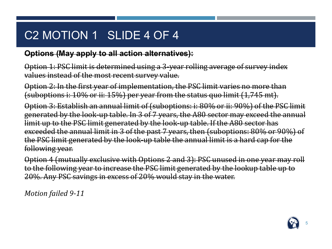## C2 MOTION 1 SLIDE 4 OF 4

#### **Options (May apply to all action alternatives):**

Option 1: PSC limit is determined using a 3-year rolling average of survey index values instead of the most recent survey value.

Option 2: In the first year of implementation, the PSC limit varies no more than (suboptions i: 10% or ii: 15%) per year from the status quo limit (1,745 mt).

Option 3: Establish an annual limit of (suboptions: i: 80% or ii: 90%) of the PSC limit generated by the look-up table. In 3 of 7 years, the A80 sector may exceed the annual limit up to the PSC limit generated by the look-up table. If the A80 sector has exceeded the annual limit in 3 of the past 7 years, then (suboptions: 80% or 90%) of the PSC limit generated by the look-up table the annual limit is a hard cap for the following year.

Option 4 (mutually exclusive with Options 2 and 3): PSC unused in one year may roll to the following year to increase the PSC limit generated by the lookup table up to 20%. Any PSC savings in excess of 20% would stay in the water.

*Motion failed 9-11*